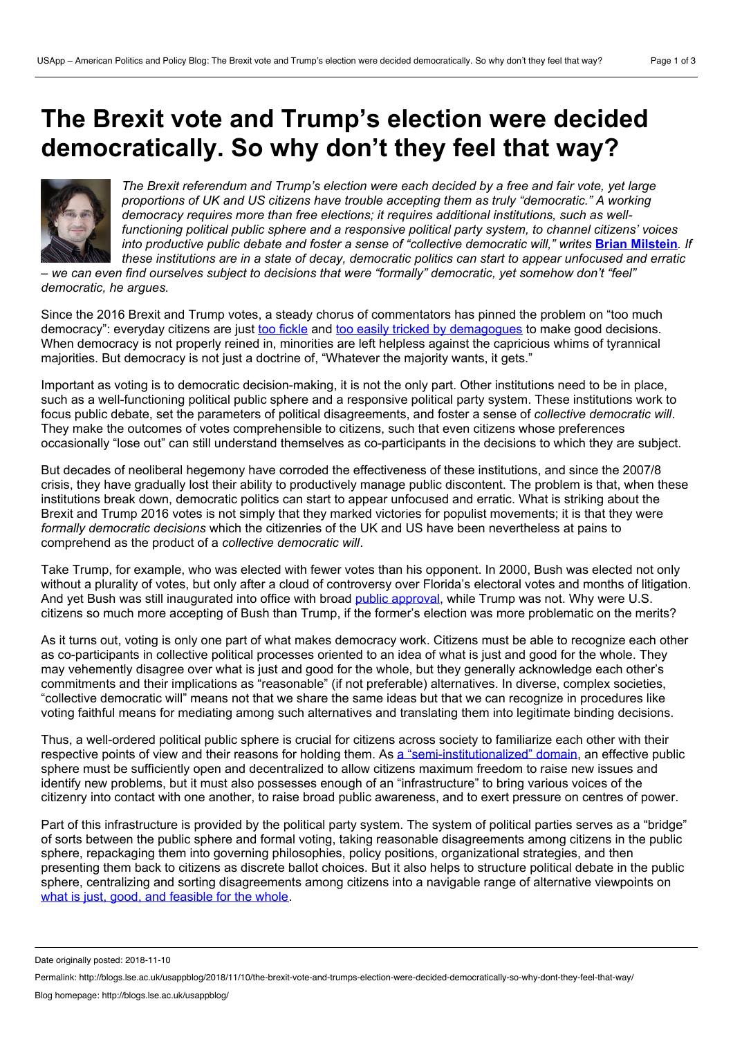## **The Brexit vote and Trump's election were decided democratically. So why don't they feel that way?**



*The Brexit referendum and Trump's election were each decided by a free and fairvote, yet large proportions of UK and US citizens have trouble accepting them as truly "democratic." A working democracy requires more than free elections; it requires additional institutions, such as wellfunctioning political public sphere and a responsive political party system, to channel citizens' voices* into productive public debate and foster a sense of "collective democratic will," writes **Brian [Milstein](https://wp.me/p3I2YF-8jj#Author)**. If *these institutions are in a state of decay, democratic politics can start to appear unfocused and erratic*

we can even find ourselves subject to decisions that were "formally" democratic, yet somehow don't "feel" *democratic, he argues.*

Since the 2016 Brexit and Trump votes, a steady chorus of commentators has pinned the problem on "too much democracy": everyday citizens are just too [fickle](https://www.politico.com/magazine/story/2018/06/26/america-democracy-trump-russia-2016-218894) and too easily tricked by [demagogues](http://nymag.com/intelligencer/2016/04/america-tyranny-donald-trump.html) to make good decisions. When democracy is not properly reined in, minorities are left helpless against the capricious whims of tyrannical majorities. But democracy is not just a doctrine of, "Whatever the majority wants, it gets."

Important as voting is to democratic decision-making, it is not the only part. Other institutions need to be in place, such as a well-functioning political public sphere and a responsive political party system. These institutions work to focus public debate, set the parameters of political disagreements, and foster a sense of *collective democratic will*. They make the outcomes of votes comprehensible to citizens, such that even citizens whose preferences occasionally "lose out" can still understand themselves as co-participants in the decisions to which they are subject.

But decades of neoliberal hegemony have corroded the effectiveness of these institutions, and since the 2007/8 crisis, they have gradually lost their ability to productively manage public discontent. The problem is that, when these institutions break down, democratic politics can start to appear unfocused and erratic. What is striking about the Brexit and Trump 2016 votes is not simply that they marked victories for populist movements; it is that they were *formally democratic decisions* which the citizenries of the UK and US have been nevertheless at pains to comprehend as the product of a *collective democratic will*.

Take Trump, for example, who was elected with fewer votes than his opponent. In 2000, Bush was elected not only without a plurality of votes, but only after a cloud of controversy over Florida's electoral votes and months of litigation. And yet Bush was still inaugurated into office with broad public [approval](https://news.gallup.com/poll/202811/trump-sets-new-low-point-inaugural-approval-rating.aspx), while Trump was not. Why were U.S. citizens so much more accepting of Bush than Trump, if the former's election was more problematic on the merits?

As it turns out, voting is only one part of what makes democracy work. Citizens must be able to recognize each other as co-participants in collective political processes oriented to an idea of what is just and good for the whole. They may vehemently disagree over what is just and good for the whole, but they generally acknowledge each other's commitments and their implications as "reasonable" (if not preferable) alternatives. In diverse, complex societies, "collective democratic will" means not that we share the same ideas but that we can recognize in procedures like voting faithful means for mediating among such alternatives and translating them into legitimate binding decisions.

Thus, a well-ordered political public sphere is crucial for citizens across society to familiarize each other with their respective points of view and their reasons for holding them. As a ["semi-institutionalized"](https://mitpress.mit.edu/books/structural-transformation-public-sphere) domain, an effective public sphere must be sufficiently open and decentralized to allow citizens maximum freedom to raise new issues and identify new problems, but it must also possesses enough of an "infrastructure" to bring various voices of the citizenry into contact with one another, to raise broad public awareness, and to exert pressure on centres of power.

Part of this infrastructure is provided by the political party system. The system of political parties serves as a "bridge" of sorts between the public sphere and formal voting, taking reasonable disagreements among citizens in the public sphere, repackaging them into governing philosophies, policy positions, organizational strategies, and then presenting them back to citizens as discrete ballot choices. But it also helps to structure political debate in the public sphere, centralizing and sorting disagreements among citizens into a navigable range of alternative viewpoints on what is just, good, and [feasible](https://doi.org/10.1017/S0003055411000074) for the whole.

Date originally posted: 2018-11-10

Permalink: http://blogs.lse.ac.uk/usappblog/2018/11/10/the-brexit-vote-and-trumps-election-were-decided-democratically-so-why-dont-they-feel-that-way/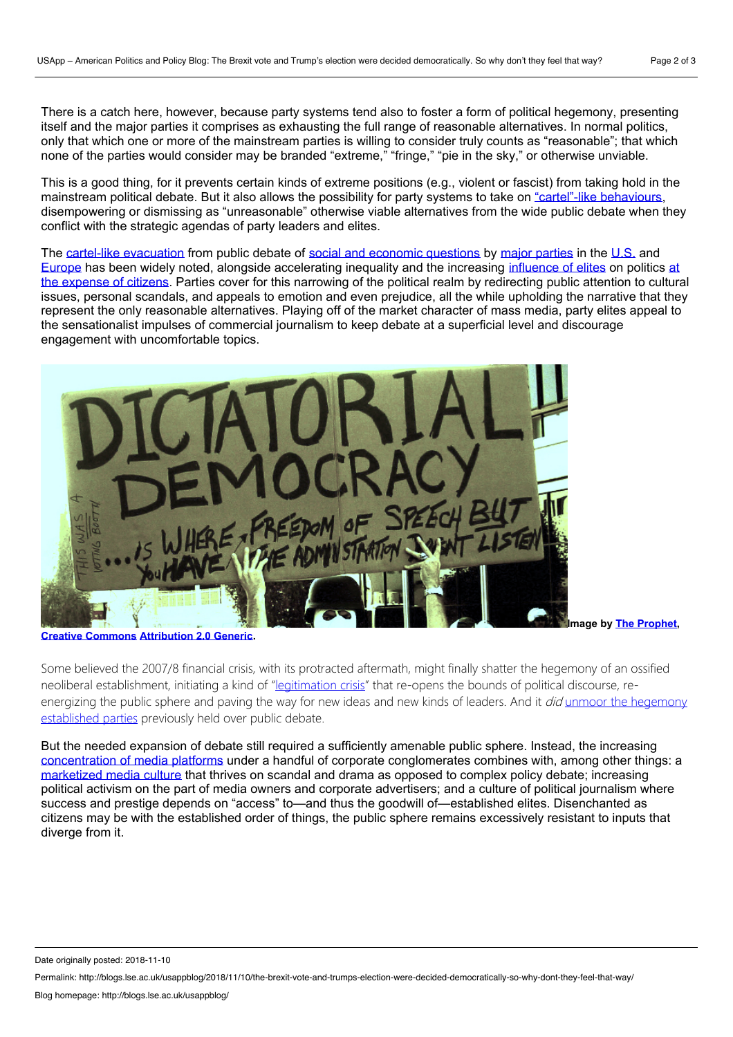There is a catch here, however, because party systems tend also to foster a form of political hegemony, presenting itself and the major parties it comprises as exhausting the full range of reasonable alternatives. In normal politics, only that which one or more of the mainstream parties is willing to consider truly counts as "reasonable"; that which none of the parties would consider may be branded "extreme," "fringe," "pie in the sky," or otherwise unviable.

This is a good thing, for it prevents certain kinds of extreme positions (e.g., violent or fascist) from taking hold in the mainstream political debate. But it also allows the possibility for party systems to take on ["cartel"-like](https://doi.org/10.1017/S1537592709991782) behaviours, disempowering or dismissing as "unreasonable" otherwise viable alternatives from the wide public debate when they conflict with the strategic agendas of party leaders and elites.

The cartel-like [evacuation](https://www.versobooks.com/books/1447-ruling-the-void) from public debate of social and economic [questions](https://www.wiley.com/en-us/Capitalism%3A+A+Conversation+in+Critical+Theory-p-9780745671567) by major [parties](https://www.wiley.com/en-us/Post+Democracy-p-9780745633152) in the [U.S.](https://johnhalle.com/adolph-reed-on-the-packaging-and-selling-of-the-obama-brand/) and [Europe](https://www.theguardian.com/politics/2003/aug/06/society.labour) has been widely noted, alongside [accelerating](https://www.versobooks.com/blogs/2943-wolfgang-streeck-a-problem-with-democracy) inequality and the increasing [influence](https://www.washingtonpost.com/news/monkey-cage/wp/2016/05/23/critics-challenge-our-portrait-of-americas-political-inequality-heres-5-ways-they-are-wrong/?noredirect=on&utm_term=.cce5496fa01c) of elites on politics at the expense of citizens. Parties cover for this narrowing of the political realm by redirecting public attention to cultural issues, personal scandals, and appeals to emotion and even prejudice, all the while upholding the narrative that they represent the only reasonable alternatives. Playing off of the market character of mass media, party elites appeal to the sensationalist impulses of commercial journalism to keep debate at a superficial level and discourage engagement with uncomfortable topics.



**Creative [Commons](https://en.wikipedia.org/wiki/en:Creative_Commons) [Attribution](https://creativecommons.org/licenses/by/2.0/deed.en) 2.0 Generic.**

**Image by The [Prophet](https://www.flickr.com/people/53234844@N00),**

Some believed the 2007/8 financial crisis, with its protracted aftermath, might finally shatter the hegemony of an ossified neoliberal establishment, initiating a kind of "[legitimation](https://www.penguinrandomhouse.com/books/204054/legitimation-crisis-by-jurgen-habermas/9780807015216/) crisis" that re-opens the bounds of political discourse, reenergizing the public sphere and paving the way for new ideas and new kinds of leaders. And it did unmoor the hegemony [established](https://americanaffairsjournal.org/2017/11/progressive-neoliberalism-trump-beyond/) parties previously held over public debate.

But the needed expansion of debate still required a sufficiently amenable public sphere. Instead, the increasing [concentration](http://www.lse.ac.uk/media@lse/research/mediaWorkingPapers/pdf/EWP18.pdf) of media platforms under a handful of corporate conglomerates combines with, among other things: a [marketized](https://onlinelibrary.wiley.com/doi/abs/10.1111/j.1468-2885.2006.00280.x) media culture that thrives on scandal and drama as opposed to complex policy debate; increasing political activism on the part of media owners and corporate advertisers; and a culture of political journalism where success and prestige depends on "access" to—and thus the goodwill of—established elites. Disenchanted as citizens may be with the established order of things, the public sphere remains excessively resistant to inputs that diverge from it.

Date originally posted: 2018-11-10

Permalink: http://blogs.lse.ac.uk/usappblog/2018/11/10/the-brexit-vote-and-trumps-election-were-decided-democratically-so-why-dont-they-feel-that-way/